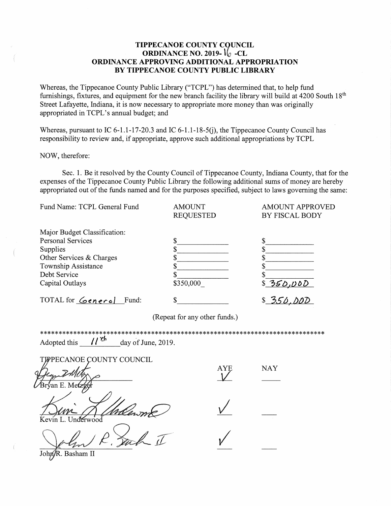## TIPPECANOE COUNTY COUNCIL **ORDINANCE NO. 2019-**  $\iint_{2}$  -CL ORDINANCE APPROVING ADDITIONAL APPROPRIATION BY TIPPECANOE COUNTY PUBLIC LIBRARY

Whereas, the Tippecanoe County Public Library ("TCPL") has determined that, to help fund furnishings, fixtures, and equipment for the new branch facility the library will build at 4200 South  $18<sup>th</sup>$ Street Lafayette, Indiana, it is now necessary to appropriate more money than was originally appropriated in TCPL's annual budget; and

Whereas, pursuant to IC 6-1.1-17-20.3 and IC 6-1.1-18-5(j), the Tippecanoe County Council has responsibility to review and, if appropriate, approve such additional appropriations by TCPL

NOW, therefore:

Sec. 1. Be it resolved by the County Council of Tippecanoe County, Indiana County, that for the expenses of the Tippecanoe County Public Library the following additional sums of money are hereby appropriated out of the funds named and for the purposes specified, subject to laws governing the same:

| Fund Name: TCPL General Fund | <b>AMOUNT</b><br><b>REQUESTED</b> | <b>AMOUNT APPROVED</b><br>BY FISCAL BODY |
|------------------------------|-----------------------------------|------------------------------------------|
| Major Budget Classification: |                                   |                                          |
| <b>Personal Services</b>     | \$                                |                                          |
| Supplies                     |                                   |                                          |
| Other Services & Charges     |                                   |                                          |
| Township Assistance          |                                   |                                          |
| Debt Service                 |                                   |                                          |
| Capital Outlays              | \$350,000                         | \$350,000                                |
| TOTAL for General<br>Fund:   | \$                                |                                          |

(Repeat for any other funds.)

\*\*\*\*\*\*\*\*\*\*\*\*\*\*\*\*\*\*\*\*\*\*\*\*\*\*\*\*\*\*\*\*\*\*  $11^{4}$ Adopted this day of June, 2019.

**TIPPECANOE COUNTY COUNCIL NAY** an E. Mei ín L. Undérwood

John/R. Basham II